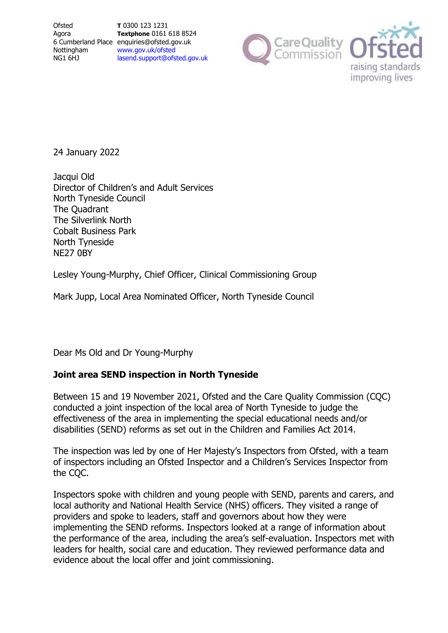**Ofsted** Agora Nottingham NG1 6HJ

6 Cumberland Place enquiries@ofsted.gov.uk **T** 0300 123 1231 **Textphone** 0161 618 8524 [www.gov.uk/ofsted](http://www.gov.uk/ofsted) [lasend.support@ofsted.gov.uk](mailto:lasend.support@ofsted.gov.ukvvvvv.uk)



24 January 2022

Jacqui Old Director of Children's and Adult Services North Tyneside Council The Quadrant The Silverlink North Cobalt Business Park North Tyneside NE27 0BY

Lesley Young-Murphy, Chief Officer, Clinical Commissioning Group

Mark Jupp, Local Area Nominated Officer, North Tyneside Council

Dear Ms Old and Dr Young-Murphy

# **Joint area SEND inspection in North Tyneside**

Between 15 and 19 November 2021, Ofsted and the Care Quality Commission (CQC) conducted a joint inspection of the local area of North Tyneside to judge the effectiveness of the area in implementing the special educational needs and/or disabilities (SEND) reforms as set out in the Children and Families Act 2014.

The inspection was led by one of Her Majesty's Inspectors from Ofsted, with a team of inspectors including an Ofsted Inspector and a Children's Services Inspector from the CQC.

Inspectors spoke with children and young people with SEND, parents and carers, and local authority and National Health Service (NHS) officers. They visited a range of providers and spoke to leaders, staff and governors about how they were implementing the SEND reforms. Inspectors looked at a range of information about the performance of the area, including the area's self-evaluation. Inspectors met with leaders for health, social care and education. They reviewed performance data and evidence about the local offer and joint commissioning.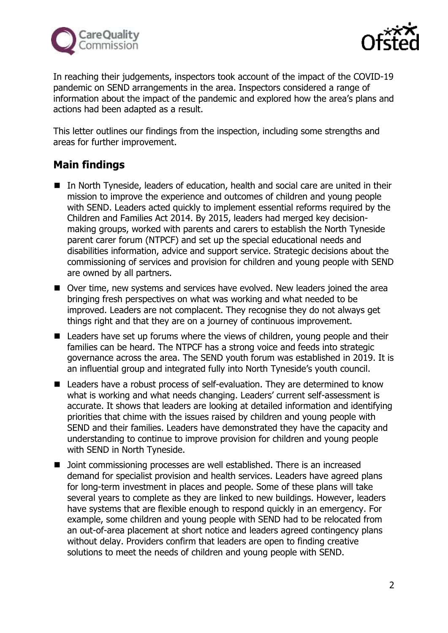



In reaching their judgements, inspectors took account of the impact of the COVID-19 pandemic on SEND arrangements in the area. Inspectors considered a range of information about the impact of the pandemic and explored how the area's plans and actions had been adapted as a result.

This letter outlines our findings from the inspection, including some strengths and areas for further improvement.

# **Main findings**

- In North Tyneside, leaders of education, health and social care are united in their mission to improve the experience and outcomes of children and young people with SEND. Leaders acted quickly to implement essential reforms required by the Children and Families Act 2014. By 2015, leaders had merged key decisionmaking groups, worked with parents and carers to establish the North Tyneside parent carer forum (NTPCF) and set up the special educational needs and disabilities information, advice and support service. Strategic decisions about the commissioning of services and provision for children and young people with SEND are owned by all partners.
- Over time, new systems and services have evolved. New leaders joined the area bringing fresh perspectives on what was working and what needed to be improved. Leaders are not complacent. They recognise they do not always get things right and that they are on a journey of continuous improvement.
- Leaders have set up forums where the views of children, young people and their families can be heard. The NTPCF has a strong voice and feeds into strategic governance across the area. The SEND youth forum was established in 2019. It is an influential group and integrated fully into North Tyneside's youth council.
- Leaders have a robust process of self-evaluation. They are determined to know what is working and what needs changing. Leaders' current self-assessment is accurate. It shows that leaders are looking at detailed information and identifying priorities that chime with the issues raised by children and young people with SEND and their families. Leaders have demonstrated they have the capacity and understanding to continue to improve provision for children and young people with SEND in North Tyneside.
- Joint commissioning processes are well established. There is an increased demand for specialist provision and health services. Leaders have agreed plans for long-term investment in places and people. Some of these plans will take several years to complete as they are linked to new buildings. However, leaders have systems that are flexible enough to respond quickly in an emergency. For example, some children and young people with SEND had to be relocated from an out-of-area placement at short notice and leaders agreed contingency plans without delay. Providers confirm that leaders are open to finding creative solutions to meet the needs of children and young people with SEND.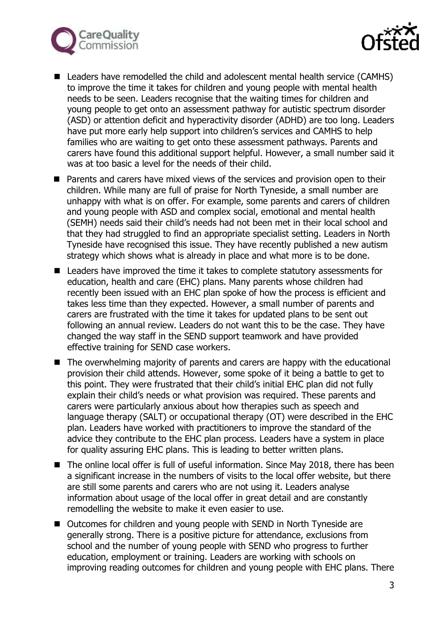



- Leaders have remodelled the child and adolescent mental health service (CAMHS) to improve the time it takes for children and young people with mental health needs to be seen. Leaders recognise that the waiting times for children and young people to get onto an assessment pathway for autistic spectrum disorder (ASD) or attention deficit and hyperactivity disorder (ADHD) are too long. Leaders have put more early help support into children's services and CAMHS to help families who are waiting to get onto these assessment pathways. Parents and carers have found this additional support helpful. However, a small number said it was at too basic a level for the needs of their child.
- Parents and carers have mixed views of the services and provision open to their children. While many are full of praise for North Tyneside, a small number are unhappy with what is on offer. For example, some parents and carers of children and young people with ASD and complex social, emotional and mental health (SEMH) needs said their child's needs had not been met in their local school and that they had struggled to find an appropriate specialist setting. Leaders in North Tyneside have recognised this issue. They have recently published a new autism strategy which shows what is already in place and what more is to be done.
- Leaders have improved the time it takes to complete statutory assessments for education, health and care (EHC) plans. Many parents whose children had recently been issued with an EHC plan spoke of how the process is efficient and takes less time than they expected. However, a small number of parents and carers are frustrated with the time it takes for updated plans to be sent out following an annual review. Leaders do not want this to be the case. They have changed the way staff in the SEND support teamwork and have provided effective training for SEND case workers.
- The overwhelming majority of parents and carers are happy with the educational provision their child attends. However, some spoke of it being a battle to get to this point. They were frustrated that their child's initial EHC plan did not fully explain their child's needs or what provision was required. These parents and carers were particularly anxious about how therapies such as speech and language therapy (SALT) or occupational therapy (OT) were described in the EHC plan. Leaders have worked with practitioners to improve the standard of the advice they contribute to the EHC plan process. Leaders have a system in place for quality assuring EHC plans. This is leading to better written plans.
- The online local offer is full of useful information. Since May 2018, there has been a significant increase in the numbers of visits to the local offer website, but there are still some parents and carers who are not using it. Leaders analyse information about usage of the local offer in great detail and are constantly remodelling the website to make it even easier to use.
- Outcomes for children and young people with SEND in North Tyneside are generally strong. There is a positive picture for attendance, exclusions from school and the number of young people with SEND who progress to further education, employment or training. Leaders are working with schools on improving reading outcomes for children and young people with EHC plans. There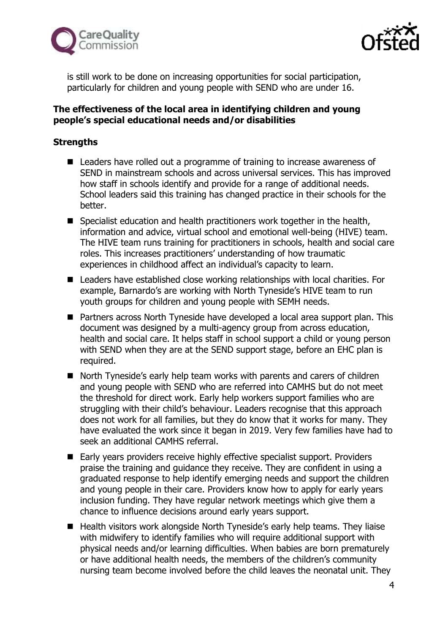



is still work to be done on increasing opportunities for social participation, particularly for children and young people with SEND who are under 16.

### **The effectiveness of the local area in identifying children and young people's special educational needs and/or disabilities**

## **Strengths**

- Leaders have rolled out a programme of training to increase awareness of SEND in mainstream schools and across universal services. This has improved how staff in schools identify and provide for a range of additional needs. School leaders said this training has changed practice in their schools for the better.
- Specialist education and health practitioners work together in the health, information and advice, virtual school and emotional well-being (HIVE) team. The HIVE team runs training for practitioners in schools, health and social care roles. This increases practitioners' understanding of how traumatic experiences in childhood affect an individual's capacity to learn.
- Leaders have established close working relationships with local charities. For example, Barnardo's are working with North Tyneside's HIVE team to run youth groups for children and young people with SEMH needs.
- Partners across North Tyneside have developed a local area support plan. This document was designed by a multi-agency group from across education, health and social care. It helps staff in school support a child or young person with SEND when they are at the SEND support stage, before an EHC plan is required.
- North Tyneside's early help team works with parents and carers of children and young people with SEND who are referred into CAMHS but do not meet the threshold for direct work. Early help workers support families who are struggling with their child's behaviour. Leaders recognise that this approach does not work for all families, but they do know that it works for many. They have evaluated the work since it began in 2019. Very few families have had to seek an additional CAMHS referral.
- Early years providers receive highly effective specialist support. Providers praise the training and guidance they receive. They are confident in using a graduated response to help identify emerging needs and support the children and young people in their care. Providers know how to apply for early years inclusion funding. They have regular network meetings which give them a chance to influence decisions around early years support.
- Health visitors work alongside North Tyneside's early help teams. They liaise with midwifery to identify families who will require additional support with physical needs and/or learning difficulties. When babies are born prematurely or have additional health needs, the members of the children's community nursing team become involved before the child leaves the neonatal unit. They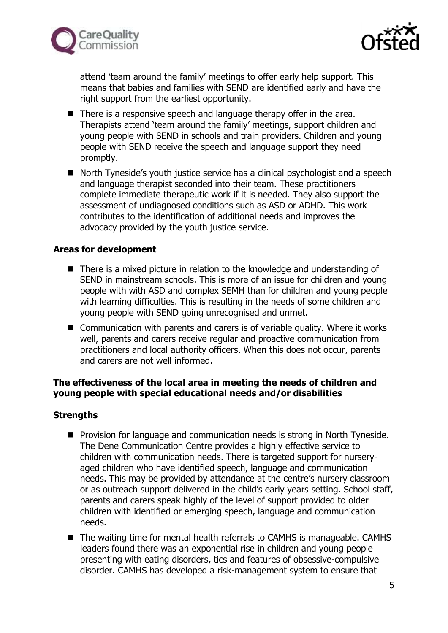



attend 'team around the family' meetings to offer early help support. This means that babies and families with SEND are identified early and have the right support from the earliest opportunity.

- There is a responsive speech and language therapy offer in the area. Therapists attend 'team around the family' meetings, support children and young people with SEND in schools and train providers. Children and young people with SEND receive the speech and language support they need promptly.
- North Tyneside's youth justice service has a clinical psychologist and a speech and language therapist seconded into their team. These practitioners complete immediate therapeutic work if it is needed. They also support the assessment of undiagnosed conditions such as ASD or ADHD. This work contributes to the identification of additional needs and improves the advocacy provided by the youth justice service.

#### **Areas for development**

- There is a mixed picture in relation to the knowledge and understanding of SEND in mainstream schools. This is more of an issue for children and young people with with ASD and complex SEMH than for children and young people with learning difficulties. This is resulting in the needs of some children and young people with SEND going unrecognised and unmet.
- Communication with parents and carers is of variable quality. Where it works well, parents and carers receive regular and proactive communication from practitioners and local authority officers. When this does not occur, parents and carers are not well informed.

# **The effectiveness of the local area in meeting the needs of children and young people with special educational needs and/or disabilities**

# **Strengths**

- Provision for language and communication needs is strong in North Tyneside. The Dene Communication Centre provides a highly effective service to children with communication needs. There is targeted support for nurseryaged children who have identified speech, language and communication needs. This may be provided by attendance at the centre's nursery classroom or as outreach support delivered in the child's early years setting. School staff, parents and carers speak highly of the level of support provided to older children with identified or emerging speech, language and communication needs.
- The waiting time for mental health referrals to CAMHS is manageable. CAMHS leaders found there was an exponential rise in children and young people presenting with eating disorders, tics and features of obsessive-compulsive disorder. CAMHS has developed a risk-management system to ensure that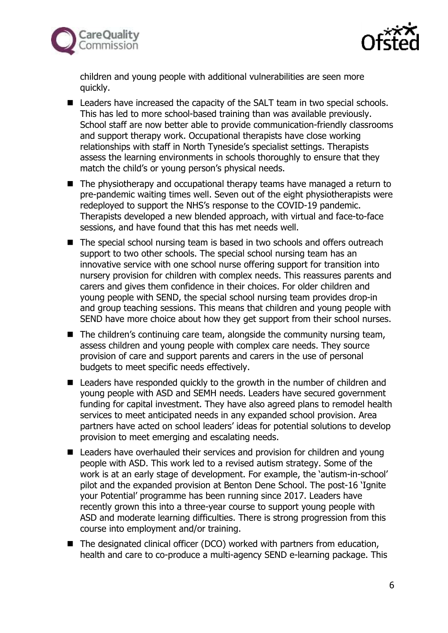



children and young people with additional vulnerabilities are seen more quickly.

- Leaders have increased the capacity of the SALT team in two special schools. This has led to more school-based training than was available previously. School staff are now better able to provide communication-friendly classrooms and support therapy work. Occupational therapists have close working relationships with staff in North Tyneside's specialist settings. Therapists assess the learning environments in schools thoroughly to ensure that they match the child's or young person's physical needs.
- The physiotherapy and occupational therapy teams have managed a return to pre-pandemic waiting times well. Seven out of the eight physiotherapists were redeployed to support the NHS's response to the COVID-19 pandemic. Therapists developed a new blended approach, with virtual and face-to-face sessions, and have found that this has met needs well.
- The special school nursing team is based in two schools and offers outreach support to two other schools. The special school nursing team has an innovative service with one school nurse offering support for transition into nursery provision for children with complex needs. This reassures parents and carers and gives them confidence in their choices. For older children and young people with SEND, the special school nursing team provides drop-in and group teaching sessions. This means that children and young people with SEND have more choice about how they get support from their school nurses.
- The children's continuing care team, alongside the community nursing team, assess children and young people with complex care needs. They source provision of care and support parents and carers in the use of personal budgets to meet specific needs effectively.
- Leaders have responded quickly to the growth in the number of children and young people with ASD and SEMH needs. Leaders have secured government funding for capital investment. They have also agreed plans to remodel health services to meet anticipated needs in any expanded school provision. Area partners have acted on school leaders' ideas for potential solutions to develop provision to meet emerging and escalating needs.
- Leaders have overhauled their services and provision for children and young people with ASD. This work led to a revised autism strategy. Some of the work is at an early stage of development. For example, the 'autism-in-school' pilot and the expanded provision at Benton Dene School. The post-16 'Ignite your Potential' programme has been running since 2017. Leaders have recently grown this into a three-year course to support young people with ASD and moderate learning difficulties. There is strong progression from this course into employment and/or training.
- The designated clinical officer (DCO) worked with partners from education, health and care to co-produce a multi-agency SEND e-learning package. This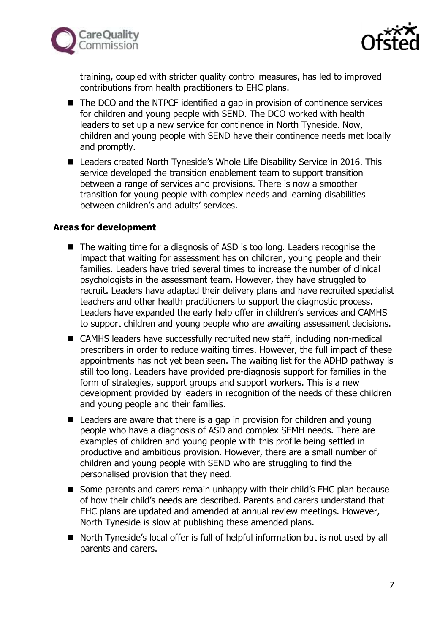



training, coupled with stricter quality control measures, has led to improved contributions from health practitioners to EHC plans.

- The DCO and the NTPCF identified a gap in provision of continence services for children and young people with SEND. The DCO worked with health leaders to set up a new service for continence in North Tyneside. Now, children and young people with SEND have their continence needs met locally and promptly.
- Leaders created North Tyneside's Whole Life Disability Service in 2016. This service developed the transition enablement team to support transition between a range of services and provisions. There is now a smoother transition for young people with complex needs and learning disabilities between children's and adults' services.

#### **Areas for development**

- The waiting time for a diagnosis of ASD is too long. Leaders recognise the impact that waiting for assessment has on children, young people and their families. Leaders have tried several times to increase the number of clinical psychologists in the assessment team. However, they have struggled to recruit. Leaders have adapted their delivery plans and have recruited specialist teachers and other health practitioners to support the diagnostic process. Leaders have expanded the early help offer in children's services and CAMHS to support children and young people who are awaiting assessment decisions.
- CAMHS leaders have successfully recruited new staff, including non-medical prescribers in order to reduce waiting times. However, the full impact of these appointments has not yet been seen. The waiting list for the ADHD pathway is still too long. Leaders have provided pre-diagnosis support for families in the form of strategies, support groups and support workers. This is a new development provided by leaders in recognition of the needs of these children and young people and their families.
- Leaders are aware that there is a gap in provision for children and young people who have a diagnosis of ASD and complex SEMH needs. There are examples of children and young people with this profile being settled in productive and ambitious provision. However, there are a small number of children and young people with SEND who are struggling to find the personalised provision that they need.
- Some parents and carers remain unhappy with their child's EHC plan because of how their child's needs are described. Parents and carers understand that EHC plans are updated and amended at annual review meetings. However, North Tyneside is slow at publishing these amended plans.
- North Tyneside's local offer is full of helpful information but is not used by all parents and carers.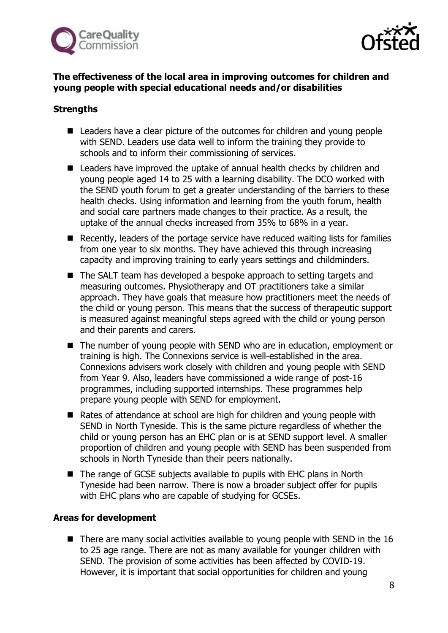



# **The effectiveness of the local area in improving outcomes for children and young people with special educational needs and/or disabilities**

## **Strengths**

- Leaders have a clear picture of the outcomes for children and young people with SEND. Leaders use data well to inform the training they provide to schools and to inform their commissioning of services.
- Leaders have improved the uptake of annual health checks by children and young people aged 14 to 25 with a learning disability. The DCO worked with the SEND youth forum to get a greater understanding of the barriers to these health checks. Using information and learning from the youth forum, health and social care partners made changes to their practice. As a result, the uptake of the annual checks increased from 35% to 68% in a year.
- Recently, leaders of the portage service have reduced waiting lists for families from one year to six months. They have achieved this through increasing capacity and improving training to early years settings and childminders.
- The SALT team has developed a bespoke approach to setting targets and measuring outcomes. Physiotherapy and OT practitioners take a similar approach. They have goals that measure how practitioners meet the needs of the child or young person. This means that the success of therapeutic support is measured against meaningful steps agreed with the child or young person and their parents and carers.
- The number of young people with SEND who are in education, employment or training is high. The Connexions service is well-established in the area. Connexions advisers work closely with children and young people with SEND from Year 9. Also, leaders have commissioned a wide range of post-16 programmes, including supported internships. These programmes help prepare young people with SEND for employment.
- Rates of attendance at school are high for children and young people with SEND in North Tyneside. This is the same picture regardless of whether the child or young person has an EHC plan or is at SEND support level. A smaller proportion of children and young people with SEND has been suspended from schools in North Tyneside than their peers nationally.
- The range of GCSE subjects available to pupils with EHC plans in North Tyneside had been narrow. There is now a broader subject offer for pupils with EHC plans who are capable of studying for GCSEs.

# **Areas for development**

■ There are many social activities available to young people with SEND in the 16 to 25 age range. There are not as many available for younger children with SEND. The provision of some activities has been affected by COVID-19. However, it is important that social opportunities for children and young